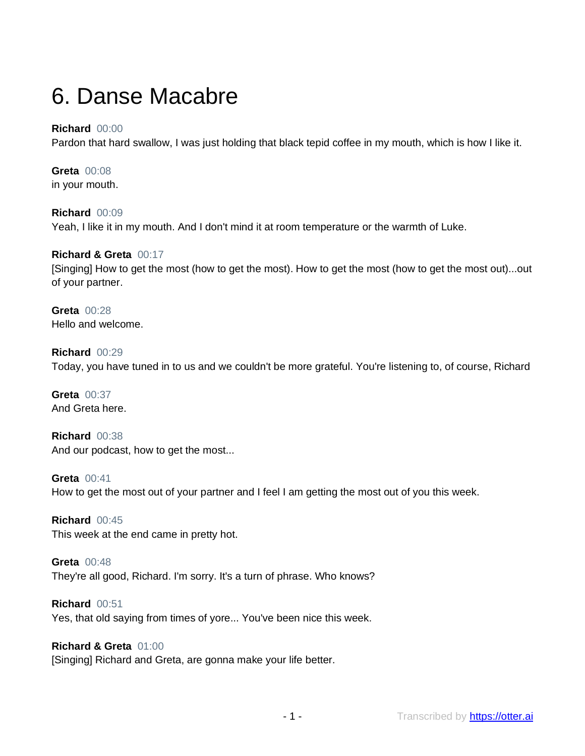# 6. Danse Macabre

## **Richard** 00:00

Pardon that hard swallow, I was just holding that black tepid coffee in my mouth, which is how I like it.

**Greta** 00:08 in your mouth.

**Richard** 00:09 Yeah, I like it in my mouth. And I don't mind it at room temperature or the warmth of Luke.

#### **Richard & Greta** 00:17

[Singing] How to get the most (how to get the most). How to get the most (how to get the most out)...out of your partner.

**Greta** 00:28 Hello and welcome.

**Richard** 00:29 Today, you have tuned in to us and we couldn't be more grateful. You're listening to, of course, Richard

**Greta** 00:37 And Greta here.

**Richard** 00:38 And our podcast, how to get the most...

**Greta** 00:41 How to get the most out of your partner and I feel I am getting the most out of you this week.

**Richard** 00:45 This week at the end came in pretty hot.

**Greta** 00:48 They're all good, Richard. I'm sorry. It's a turn of phrase. Who knows?

**Richard** 00:51 Yes, that old saying from times of yore... You've been nice this week.

**Richard & Greta** 01:00 [Singing] Richard and Greta, are gonna make your life better.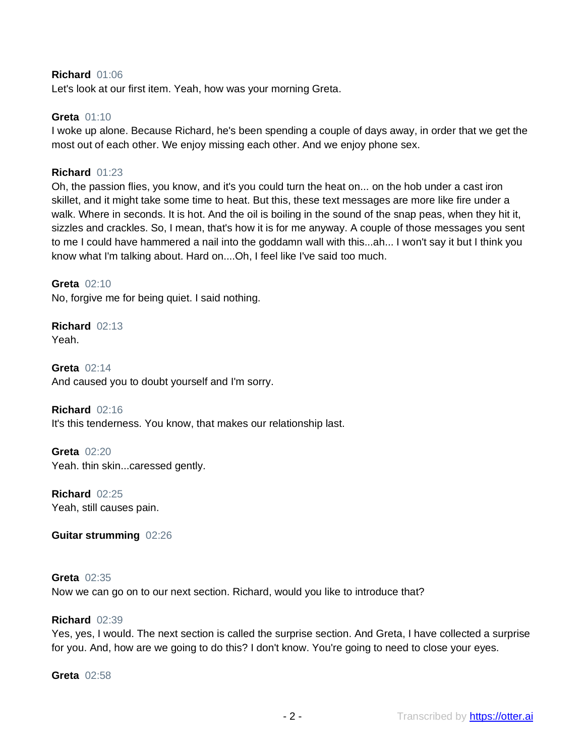#### **Richard** 01:06

Let's look at our first item. Yeah, how was your morning Greta.

#### **Greta** 01:10

I woke up alone. Because Richard, he's been spending a couple of days away, in order that we get the most out of each other. We enjoy missing each other. And we enjoy phone sex.

#### **Richard** 01:23

Oh, the passion flies, you know, and it's you could turn the heat on... on the hob under a cast iron skillet, and it might take some time to heat. But this, these text messages are more like fire under a walk. Where in seconds. It is hot. And the oil is boiling in the sound of the snap peas, when they hit it, sizzles and crackles. So, I mean, that's how it is for me anyway. A couple of those messages you sent to me I could have hammered a nail into the goddamn wall with this...ah... I won't say it but I think you know what I'm talking about. Hard on....Oh, I feel like I've said too much.

#### **Greta** 02:10

No, forgive me for being quiet. I said nothing.

## **Richard** 02:13 Yeah.

**Greta** 02:14 And caused you to doubt yourself and I'm sorry.

## **Richard** 02:16 It's this tenderness. You know, that makes our relationship last.

**Greta** 02:20 Yeah. thin skin...caressed gently.

**Richard** 02:25 Yeah, still causes pain.

#### **Guitar strumming** 02:26

## **Greta** 02:35 Now we can go on to our next section. Richard, would you like to introduce that?

#### **Richard** 02:39

Yes, yes, I would. The next section is called the surprise section. And Greta, I have collected a surprise for you. And, how are we going to do this? I don't know. You're going to need to close your eyes.

**Greta** 02:58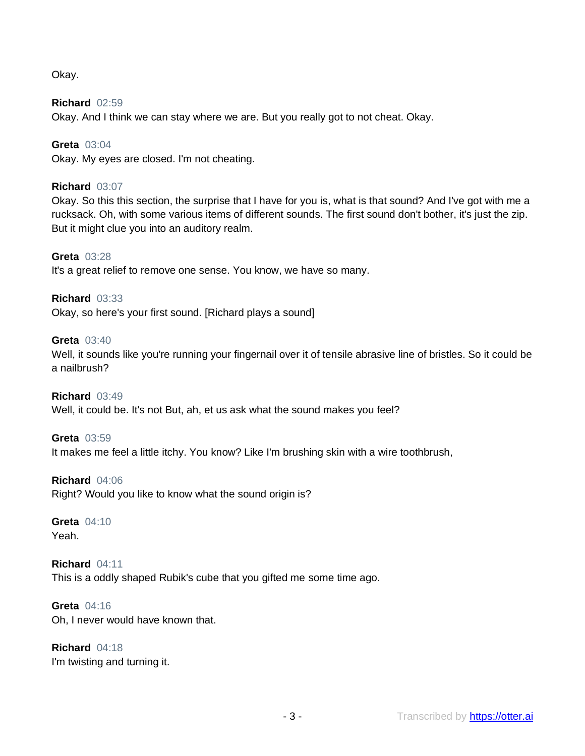Okay.

**Richard** 02:59 Okay. And I think we can stay where we are. But you really got to not cheat. Okay.

**Greta** 03:04 Okay. My eyes are closed. I'm not cheating.

## **Richard** 03:07

Okay. So this this section, the surprise that I have for you is, what is that sound? And I've got with me a rucksack. Oh, with some various items of different sounds. The first sound don't bother, it's just the zip. But it might clue you into an auditory realm.

## **Greta** 03:28

It's a great relief to remove one sense. You know, we have so many.

## **Richard** 03:33

Okay, so here's your first sound. [Richard plays a sound]

#### **Greta** 03:40

Well, it sounds like you're running your fingernail over it of tensile abrasive line of bristles. So it could be a nailbrush?

#### **Richard** 03:49

Well, it could be. It's not But, ah, et us ask what the sound makes you feel?

#### **Greta** 03:59

It makes me feel a little itchy. You know? Like I'm brushing skin with a wire toothbrush,

#### **Richard** 04:06

Right? Would you like to know what the sound origin is?

## **Greta** 04:10

Yeah.

## **Richard** 04:11 This is a oddly shaped Rubik's cube that you gifted me some time ago.

**Greta** 04:16 Oh, I never would have known that.

**Richard** 04:18 I'm twisting and turning it.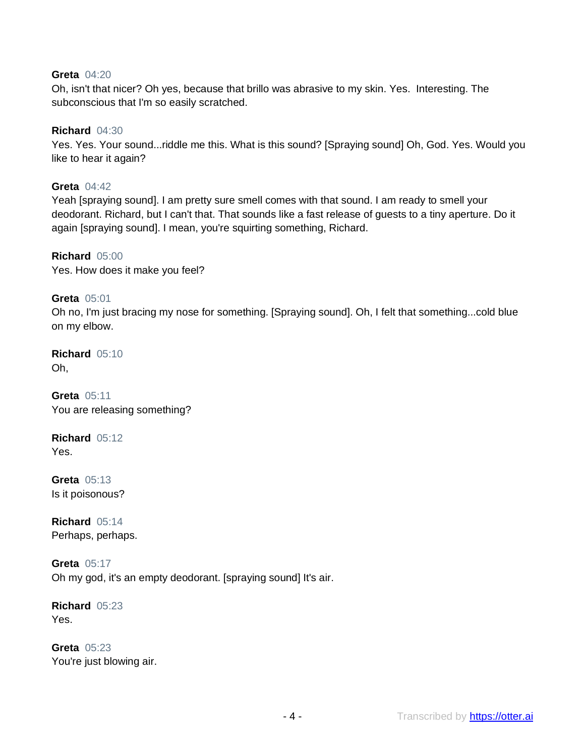## **Greta** 04:20

Oh, isn't that nicer? Oh yes, because that brillo was abrasive to my skin. Yes. Interesting. The subconscious that I'm so easily scratched.

#### **Richard** 04:30

Yes. Yes. Your sound...riddle me this. What is this sound? [Spraying sound] Oh, God. Yes. Would you like to hear it again?

**Greta** 04:42 Yeah [spraying sound]. I am pretty sure smell comes with that sound. I am ready to smell your deodorant. Richard, but I can't that. That sounds like a fast release of guests to a tiny aperture. Do it again [spraying sound]. I mean, you're squirting something, Richard.

**Richard** 05:00 Yes. How does it make you feel?

#### **Greta** 05:01

Oh no, I'm just bracing my nose for something. [Spraying sound]. Oh, I felt that something...cold blue on my elbow.

**Richard** 05:10 Oh,

**Greta** 05:11 You are releasing something?

**Richard** 05:12 Yes.

**Greta** 05:13 Is it poisonous?

**Richard** 05:14 Perhaps, perhaps.

**Greta** 05:17 Oh my god, it's an empty deodorant. [spraying sound] It's air.

**Richard** 05:23 Yes.

**Greta** 05:23 You're just blowing air.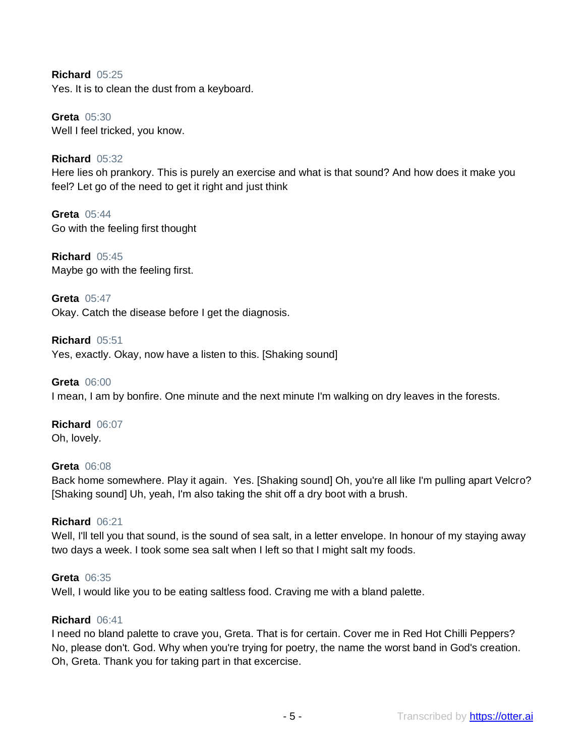**Richard** 05:25 Yes. It is to clean the dust from a keyboard.

**Greta** 05:30 Well I feel tricked, you know.

**Richard** 05:32 Here lies oh prankory. This is purely an exercise and what is that sound? And how does it make you feel? Let go of the need to get it right and just think

**Greta** 05:44 Go with the feeling first thought

**Richard** 05:45 Maybe go with the feeling first.

**Greta** 05:47 Okay. Catch the disease before I get the diagnosis.

**Richard** 05:51 Yes, exactly. Okay, now have a listen to this. [Shaking sound]

**Greta** 06:00 I mean, I am by bonfire. One minute and the next minute I'm walking on dry leaves in the forests.

**Richard** 06:07 Oh, lovely.

## **Greta** 06:08

Back home somewhere. Play it again. Yes. [Shaking sound] Oh, you're all like I'm pulling apart Velcro? [Shaking sound] Uh, yeah, I'm also taking the shit off a dry boot with a brush.

#### **Richard** 06:21

Well, I'll tell you that sound, is the sound of sea salt, in a letter envelope. In honour of my staying away two days a week. I took some sea salt when I left so that I might salt my foods.

**Greta** 06:35 Well, I would like you to be eating saltless food. Craving me with a bland palette.

#### **Richard** 06:41

I need no bland palette to crave you, Greta. That is for certain. Cover me in Red Hot Chilli Peppers? No, please don't. God. Why when you're trying for poetry, the name the worst band in God's creation. Oh, Greta. Thank you for taking part in that excercise.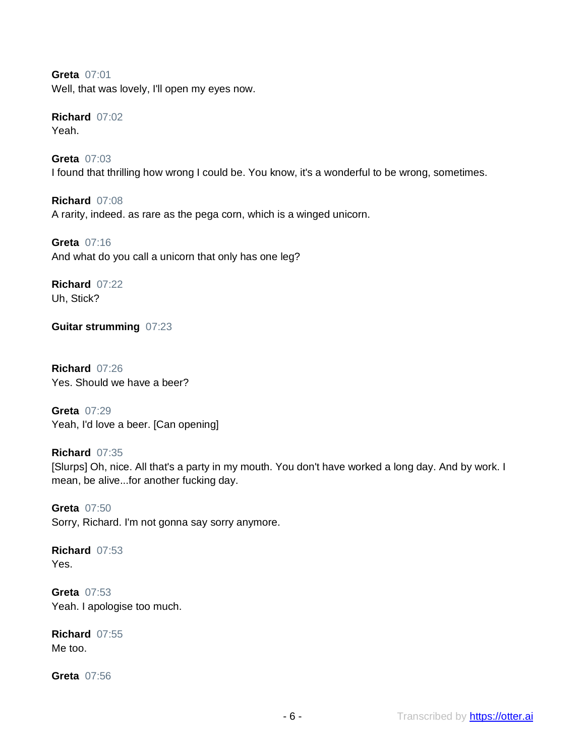**Greta** 07:01 Well, that was lovely, I'll open my eyes now.

**Richard** 07:02 Yeah.

**Greta** 07:03 I found that thrilling how wrong I could be. You know, it's a wonderful to be wrong, sometimes.

**Richard** 07:08 A rarity, indeed. as rare as the pega corn, which is a winged unicorn.

**Greta** 07:16 And what do you call a unicorn that only has one leg?

**Richard** 07:22 Uh, Stick?

**Guitar strumming** 07:23

**Richard** 07:26 Yes. Should we have a beer?

**Greta** 07:29 Yeah, I'd love a beer. [Can opening]

**Richard** 07:35 [Slurps] Oh, nice. All that's a party in my mouth. You don't have worked a long day. And by work. I mean, be alive...for another fucking day.

**Greta** 07:50 Sorry, Richard. I'm not gonna say sorry anymore.

**Richard** 07:53 Yes.

**Greta** 07:53 Yeah. I apologise too much.

**Richard** 07:55 Me too.

**Greta** 07:56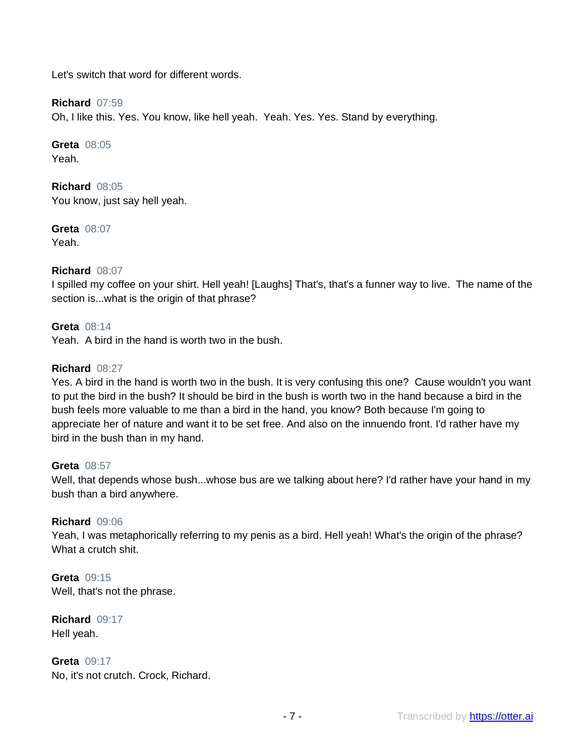Let's switch that word for different words.

## **Richard** 07:59

Oh, I like this. Yes. You know, like hell yeah. Yeah. Yes. Yes. Stand by everything.

**Greta** 08:05 Yeah.

**Richard** 08:05 You know, just say hell yeah.

**Greta** 08:07 Yeah.

## **Richard** 08:07

I spilled my coffee on your shirt. Hell yeah! [Laughs] That's, that's a funner way to live. The name of the section is...what is the origin of that phrase?

#### **Greta** 08:14

Yeah. A bird in the hand is worth two in the bush.

#### **Richard** 08:27

Yes. A bird in the hand is worth two in the bush. It is very confusing this one? Cause wouldn't you want to put the bird in the bush? It should be bird in the bush is worth two in the hand because a bird in the bush feels more valuable to me than a bird in the hand, you know? Both because I'm going to appreciate her of nature and want it to be set free. And also on the innuendo front. I'd rather have my bird in the bush than in my hand.

#### **Greta** 08:57

Well, that depends whose bush...whose bus are we talking about here? I'd rather have your hand in my bush than a bird anywhere.

#### **Richard** 09:06

Yeah, I was metaphorically referring to my penis as a bird. Hell yeah! What's the origin of the phrase? What a crutch shit.

**Greta** 09:15 Well, that's not the phrase.

**Richard** 09:17 Hell yeah.

**Greta** 09:17 No, it's not crutch. Crock, Richard.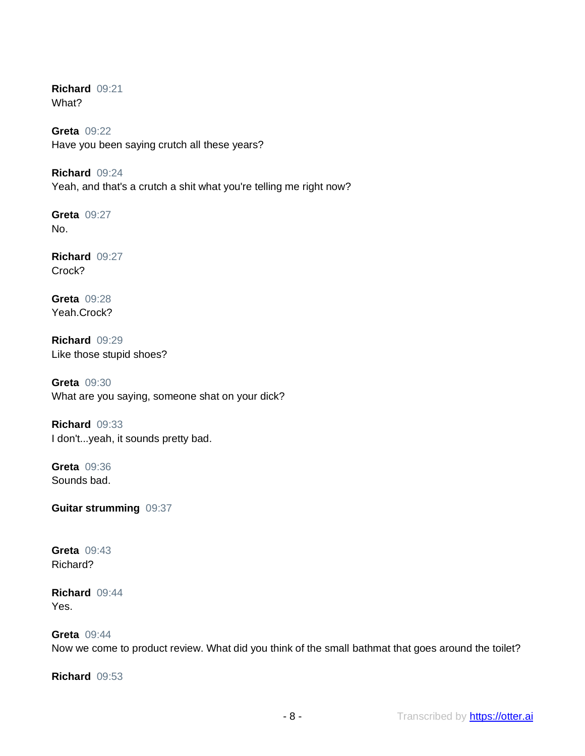**Richard** 09:21 What?

**Greta** 09:22 Have you been saying crutch all these years?

**Richard** 09:24 Yeah, and that's a crutch a shit what you're telling me right now?

**Greta** 09:27 No.

**Richard** 09:27 Crock?

**Greta** 09:28 Yeah.Crock?

**Richard** 09:29 Like those stupid shoes?

**Greta** 09:30 What are you saying, someone shat on your dick?

**Richard** 09:33 I don't...yeah, it sounds pretty bad.

**Greta** 09:36 Sounds bad.

**Guitar strumming** 09:37

**Greta** 09:43 Richard?

**Richard** 09:44 Yes.

# **Greta** 09:44

Now we come to product review. What did you think of the small bathmat that goes around the toilet?

**Richard** 09:53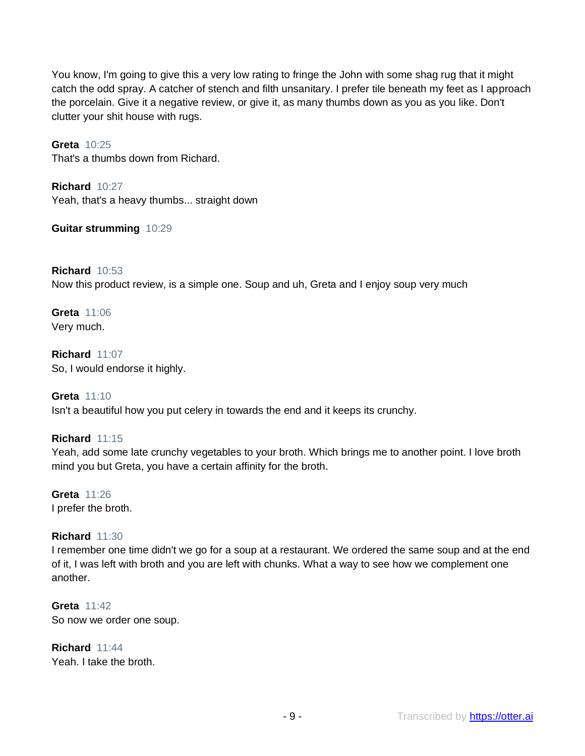You know, I'm going to give this a very low rating to fringe the John with some shag rug that it might catch the odd spray. A catcher of stench and filth unsanitary. I prefer tile beneath my feet as I approach the porcelain. Give it a negative review, or give it, as many thumbs down as you as you like. Don't clutter your shit house with rugs.

**Greta** 10:25 That's a thumbs down from Richard.

**Richard** 10:27 Yeah, that's a heavy thumbs... straight down

**Guitar strumming** 10:29

**Richard** 10:53 Now this product review, is a simple one. Soup and uh, Greta and I enjoy soup very much

**Greta** 11:06 Very much.

**Richard** 11:07 So, I would endorse it highly.

**Greta** 11:10 Isn't a beautiful how you put celery in towards the end and it keeps its crunchy.

**Richard** 11:15 Yeah, add some late crunchy vegetables to your broth. Which brings me to another point. I love broth mind you but Greta, you have a certain affinity for the broth.

**Greta** 11:26 I prefer the broth.

**Richard** 11:30

I remember one time didn't we go for a soup at a restaurant. We ordered the same soup and at the end of it, I was left with broth and you are left with chunks. What a way to see how we complement one another.

**Greta** 11:42 So now we order one soup.

**Richard** 11:44 Yeah. I take the broth.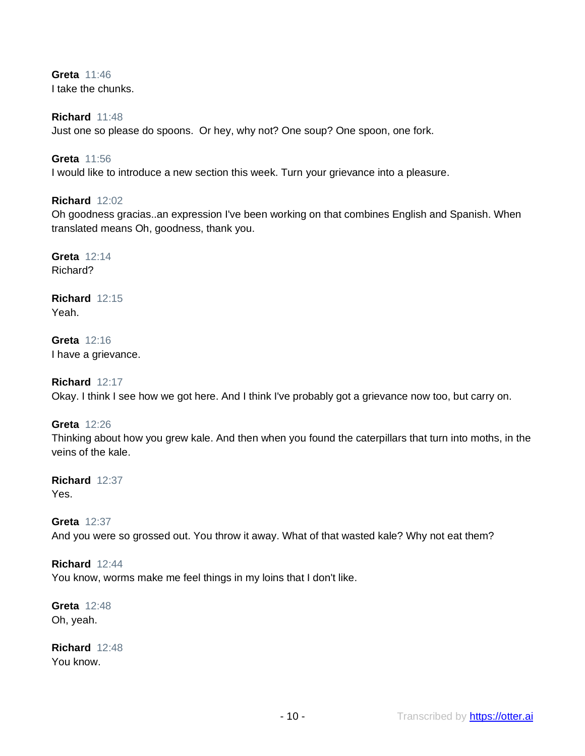**Greta** 11:46 I take the chunks.

#### **Richard** 11:48

Just one so please do spoons. Or hey, why not? One soup? One spoon, one fork.

#### **Greta** 11:56

I would like to introduce a new section this week. Turn your grievance into a pleasure.

#### **Richard** 12:02

Oh goodness gracias..an expression I've been working on that combines English and Spanish. When translated means Oh, goodness, thank you.

**Greta** 12:14 Richard?

**Richard** 12:15 Yeah.

**Greta** 12:16 I have a grievance.

**Richard** 12:17 Okay. I think I see how we got here. And I think I've probably got a grievance now too, but carry on.

#### **Greta** 12:26

Thinking about how you grew kale. And then when you found the caterpillars that turn into moths, in the veins of the kale.

**Richard** 12:37 Yes.

#### **Greta** 12:37

And you were so grossed out. You throw it away. What of that wasted kale? Why not eat them?

## **Richard** 12:44

You know, worms make me feel things in my loins that I don't like.

**Greta** 12:48 Oh, yeah.

**Richard** 12:48 You know.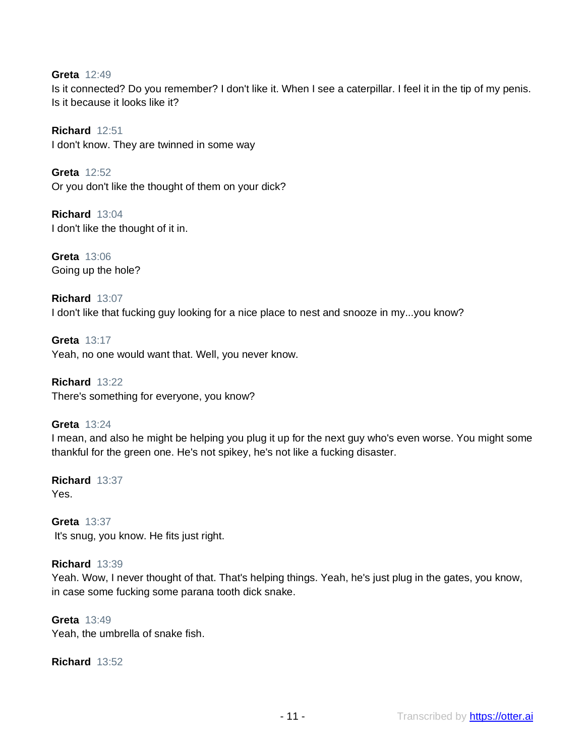## **Greta** 12:49

Is it connected? Do you remember? I don't like it. When I see a caterpillar. I feel it in the tip of my penis. Is it because it looks like it?

**Richard** 12:51 I don't know. They are twinned in some way

**Greta** 12:52 Or you don't like the thought of them on your dick?

**Richard** 13:04 I don't like the thought of it in.

**Greta** 13:06 Going up the hole?

**Richard** 13:07 I don't like that fucking guy looking for a nice place to nest and snooze in my...you know?

**Greta** 13:17 Yeah, no one would want that. Well, you never know.

**Richard** 13:22 There's something for everyone, you know?

#### **Greta** 13:24

I mean, and also he might be helping you plug it up for the next guy who's even worse. You might some thankful for the green one. He's not spikey, he's not like a fucking disaster.

**Richard** 13:37 Yes.

**Greta** 13:37 It's snug, you know. He fits just right.

#### **Richard** 13:39

Yeah. Wow, I never thought of that. That's helping things. Yeah, he's just plug in the gates, you know, in case some fucking some parana tooth dick snake.

**Greta** 13:49 Yeah, the umbrella of snake fish.

**Richard** 13:52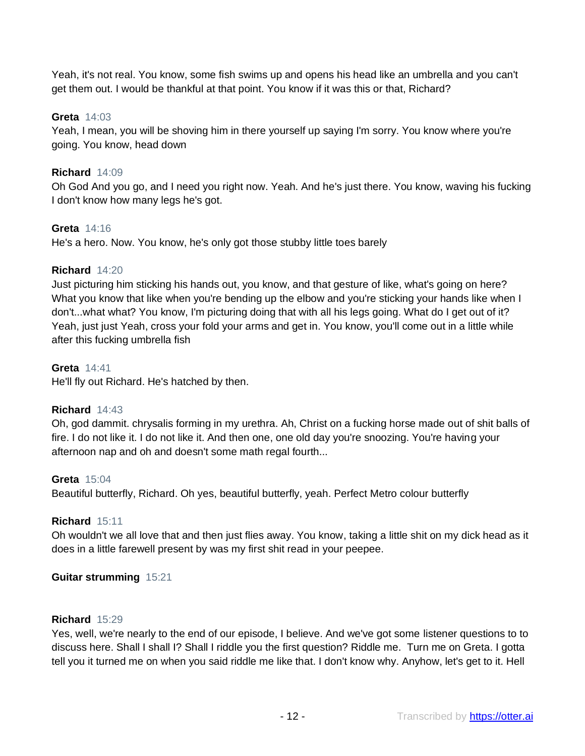Yeah, it's not real. You know, some fish swims up and opens his head like an umbrella and you can't get them out. I would be thankful at that point. You know if it was this or that, Richard?

## **Greta** 14:03

Yeah, I mean, you will be shoving him in there yourself up saying I'm sorry. You know where you're going. You know, head down

## **Richard** 14:09

Oh God And you go, and I need you right now. Yeah. And he's just there. You know, waving his fucking I don't know how many legs he's got.

## **Greta** 14:16

He's a hero. Now. You know, he's only got those stubby little toes barely

## **Richard** 14:20

Just picturing him sticking his hands out, you know, and that gesture of like, what's going on here? What you know that like when you're bending up the elbow and you're sticking your hands like when I don't...what what? You know, I'm picturing doing that with all his legs going. What do I get out of it? Yeah, just just Yeah, cross your fold your arms and get in. You know, you'll come out in a little while after this fucking umbrella fish

#### **Greta** 14:41

He'll fly out Richard. He's hatched by then.

#### **Richard** 14:43

Oh, god dammit. chrysalis forming in my urethra. Ah, Christ on a fucking horse made out of shit balls of fire. I do not like it. I do not like it. And then one, one old day you're snoozing. You're having your afternoon nap and oh and doesn't some math regal fourth...

#### **Greta** 15:04

Beautiful butterfly, Richard. Oh yes, beautiful butterfly, yeah. Perfect Metro colour butterfly

#### **Richard** 15:11

Oh wouldn't we all love that and then just flies away. You know, taking a little shit on my dick head as it does in a little farewell present by was my first shit read in your peepee.

## **Guitar strumming** 15:21

#### **Richard** 15:29

Yes, well, we're nearly to the end of our episode, I believe. And we've got some listener questions to to discuss here. Shall I shall I? Shall I riddle you the first question? Riddle me. Turn me on Greta. I gotta tell you it turned me on when you said riddle me like that. I don't know why. Anyhow, let's get to it. Hell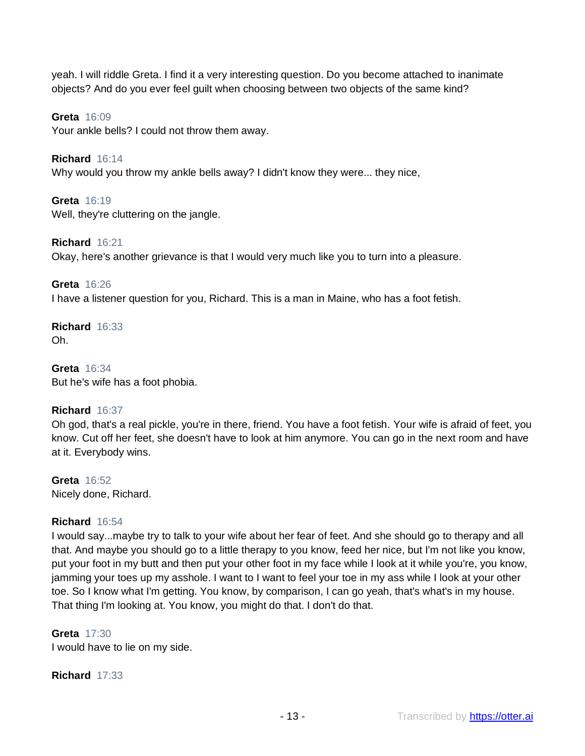yeah. I will riddle Greta. I find it a very interesting question. Do you become attached to inanimate objects? And do you ever feel guilt when choosing between two objects of the same kind?

**Greta** 16:09

Your ankle bells? I could not throw them away.

**Richard** 16:14 Why would you throw my ankle bells away? I didn't know they were... they nice,

**Greta** 16:19 Well, they're cluttering on the jangle.

**Richard** 16:21 Okay, here's another grievance is that I would very much like you to turn into a pleasure.

**Greta** 16:26 I have a listener question for you, Richard. This is a man in Maine, who has a foot fetish.

**Richard** 16:33 Oh.

**Greta** 16:34 But he's wife has a foot phobia.

## **Richard** 16:37

Oh god, that's a real pickle, you're in there, friend. You have a foot fetish. Your wife is afraid of feet, you know. Cut off her feet, she doesn't have to look at him anymore. You can go in the next room and have at it. Everybody wins.

**Greta** 16:52 Nicely done, Richard.

## **Richard** 16:54

I would say...maybe try to talk to your wife about her fear of feet. And she should go to therapy and all that. And maybe you should go to a little therapy to you know, feed her nice, but I'm not like you know, put your foot in my butt and then put your other foot in my face while I look at it while you're, you know, jamming your toes up my asshole. I want to I want to feel your toe in my ass while I look at your other toe. So I know what I'm getting. You know, by comparison, I can go yeah, that's what's in my house. That thing I'm looking at. You know, you might do that. I don't do that.

## **Greta** 17:30

I would have to lie on my side.

**Richard** 17:33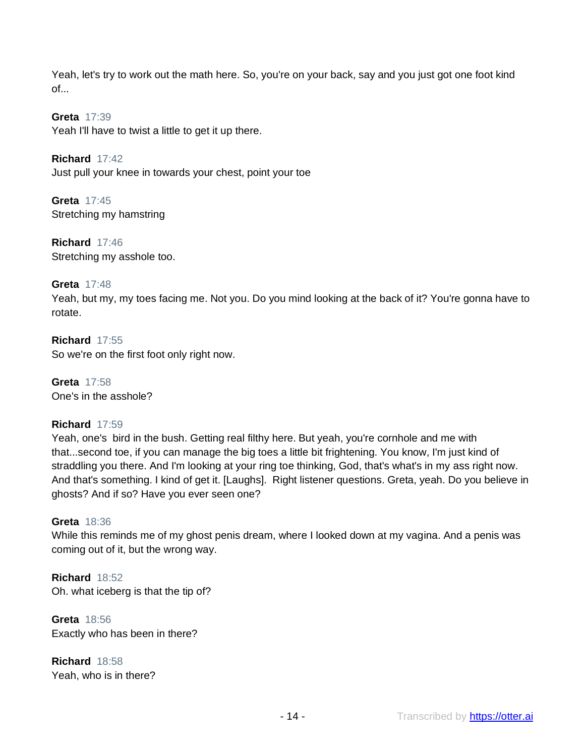Yeah, let's try to work out the math here. So, you're on your back, say and you just got one foot kind  $of...$ 

**Greta** 17:39 Yeah I'll have to twist a little to get it up there.

**Richard** 17:42 Just pull your knee in towards your chest, point your toe

**Greta** 17:45 Stretching my hamstring

**Richard** 17:46 Stretching my asshole too.

## **Greta** 17:48

Yeah, but my, my toes facing me. Not you. Do you mind looking at the back of it? You're gonna have to rotate.

**Richard** 17:55 So we're on the first foot only right now.

**Greta** 17:58 One's in the asshole?

## **Richard** 17:59

Yeah, one's bird in the bush. Getting real filthy here. But yeah, you're cornhole and me with that...second toe, if you can manage the big toes a little bit frightening. You know, I'm just kind of straddling you there. And I'm looking at your ring toe thinking, God, that's what's in my ass right now. And that's something. I kind of get it. [Laughs]. Right listener questions. Greta, yeah. Do you believe in ghosts? And if so? Have you ever seen one?

#### **Greta** 18:36

While this reminds me of my ghost penis dream, where I looked down at my vagina. And a penis was coming out of it, but the wrong way.

**Richard** 18:52 Oh. what iceberg is that the tip of?

**Greta** 18:56 Exactly who has been in there?

**Richard** 18:58 Yeah, who is in there?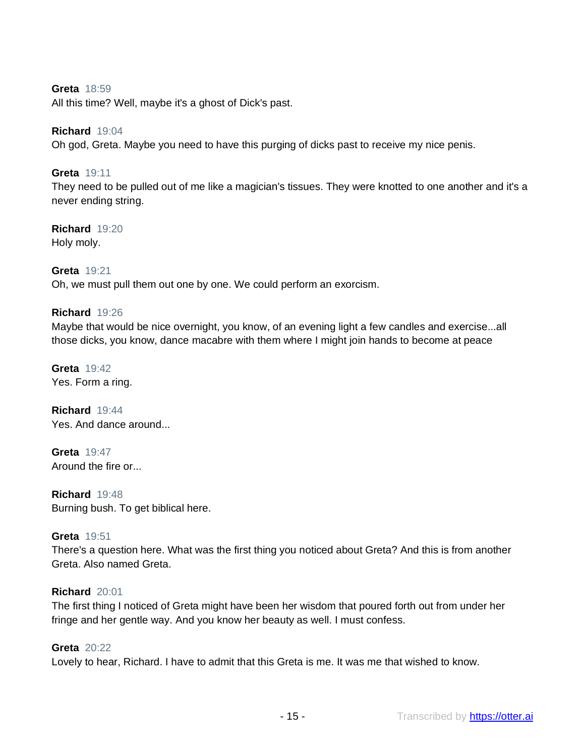## **Greta** 18:59

All this time? Well, maybe it's a ghost of Dick's past.

#### **Richard** 19:04

Oh god, Greta. Maybe you need to have this purging of dicks past to receive my nice penis.

#### **Greta** 19:11

They need to be pulled out of me like a magician's tissues. They were knotted to one another and it's a never ending string.

## **Richard** 19:20

Holy moly.

#### **Greta** 19:21

Oh, we must pull them out one by one. We could perform an exorcism.

#### **Richard** 19:26

Maybe that would be nice overnight, you know, of an evening light a few candles and exercise...all those dicks, you know, dance macabre with them where I might join hands to become at peace

**Greta** 19:42 Yes. Form a ring.

**Richard** 19:44 Yes. And dance around...

**Greta** 19:47 Around the fire or...

**Richard** 19:48 Burning bush. To get biblical here.

#### **Greta** 19:51

There's a question here. What was the first thing you noticed about Greta? And this is from another Greta. Also named Greta.

#### **Richard** 20:01

The first thing I noticed of Greta might have been her wisdom that poured forth out from under her fringe and her gentle way. And you know her beauty as well. I must confess.

## **Greta** 20:22

Lovely to hear, Richard. I have to admit that this Greta is me. It was me that wished to know.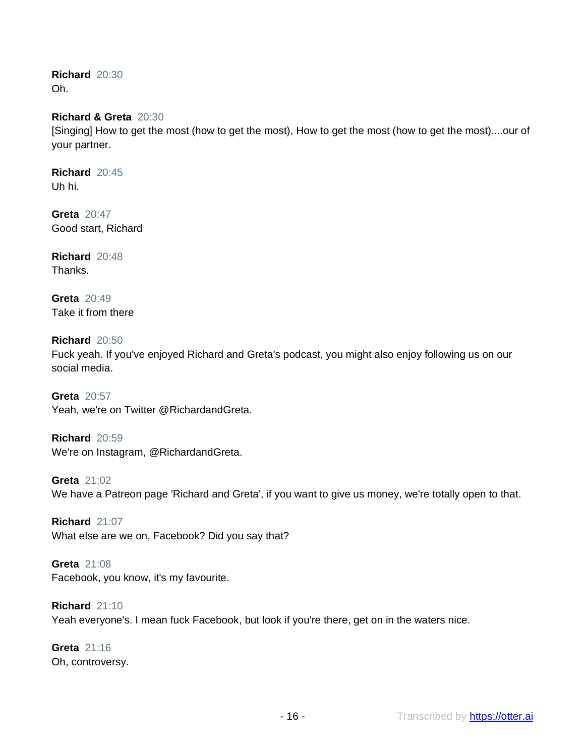**Richard** 20:30 Oh.

## **Richard & Greta** 20:30

[Singing] How to get the most (how to get the most), How to get the most (how to get the most)....our of your partner.

**Richard** 20:45 Uh hi.

**Greta** 20:47 Good start, Richard

**Richard** 20:48 **Thanks** 

**Greta** 20:49 Take it from there

**Richard** 20:50 Fuck yeah. If you've enjoyed Richard and Greta's podcast, you might also enjoy following us on our social media.

**Greta** 20:57 Yeah, we're on Twitter @RichardandGreta.

**Richard** 20:59 We're on Instagram, @RichardandGreta.

**Greta** 21:02 We have a Patreon page 'Richard and Greta', if you want to give us money, we're totally open to that.

**Richard** 21:07 What else are we on, Facebook? Did you say that?

**Greta** 21:08 Facebook, you know, it's my favourite.

**Richard** 21:10 Yeah everyone's. I mean fuck Facebook, but look if you're there, get on in the waters nice.

**Greta** 21:16 Oh, controversy.